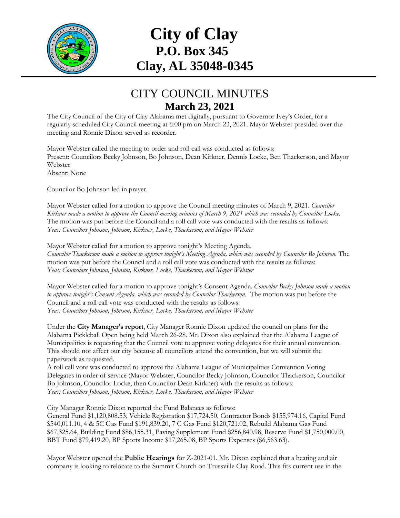

## **City of Clay P.O. Box 345 Clay, AL 35048-0345**

## CITY COUNCIL MINUTES **March 23, 2021**

The City Council of the City of Clay Alabama met digitally, pursuant to Governor Ivey's Order, for a regularly scheduled City Council meeting at 6:00 pm on March 23, 2021. Mayor Webster presided over the meeting and Ronnie Dixon served as recorder.

Mayor Webster called the meeting to order and roll call was conducted as follows: Present: Councilors Becky Johnson, Bo Johnson, Dean Kirkner, Dennis Locke, Ben Thackerson, and Mayor Webster Absent: None

Councilor Bo Johnson led in prayer.

Mayor Webster called for a motion to approve the Council meeting minutes of March 9, 2021. *Councilor Kirkner made a motion to approve the Council meeting minutes of March 9, 2021 which was seconded by Councilor Locke.*  The motion was put before the Council and a roll call vote was conducted with the results as follows: *Yeas: Councilors Johnson, Johnson, Kirkner, Locke, Thackerson, and Mayor Webster*

Mayor Webster called for a motion to approve tonight's Meeting Agenda. *Councilor Thackerson made a motion to approve tonight's Meeting Agenda, which was seconded by Councilor Bo Johnson.* The motion was put before the Council and a roll call vote was conducted with the results as follows: *Yeas: Councilors Johnson, Johnson, Kirkner, Locke, Thackerson, and Mayor Webster*

Mayor Webster called for a motion to approve tonight's Consent Agenda. *Councilor Becky Johnson made a motion*  to approve tonight's Consent Agenda, which was seconded by Councilor Thackerson. The motion was put before the Council and a roll call vote was conducted with the results as follows: *Yeas: Councilors Johnson, Johnson, Kirkner, Locke, Thackerson, and Mayor Webster*

Under the **City Manager's report**, City Manager Ronnie Dixon updated the council on plans for the Alabama Pickleball Open being held March 26-28. Mr. Dixon also explained that the Alabama League of Municipalities is requesting that the Council vote to approve voting delegates for their annual convention. This should not affect our city because all councilors attend the convention, but we will submit the paperwork as requested.

A roll call vote was conducted to approve the Alabama League of Municipalities Convention Voting Delegates in order of service (Mayor Webster, Councilor Becky Johnson, Councilor Thackerson, Councilor Bo Johnson, Councilor Locke, then Councilor Dean Kirkner) with the results as follows: *Yeas: Councilors Johnson, Johnson, Kirkner, Locke, Thackerson, and Mayor Webster*

City Manager Ronnie Dixon reported the Fund Balances as follows:

General Fund \$1,120,808.53, Vehicle Registration \$17,724.50, Contractor Bonds \$155,974.16, Capital Fund \$540,011.10, 4 & 5C Gas Fund \$191,839.20, 7 C Gas Fund \$120,721.02, Rebuild Alabama Gas Fund \$67,325.64, Building Fund \$86,155.31, Paving Supplement Fund \$256,840.98, Reserve Fund \$1,750,000.00, BBT Fund \$79,419.20, BP Sports Income \$17,265.08, BP Sports Expenses (\$6,563.63).

Mayor Webster opened the **Public Hearings** for Z-2021-01. Mr. Dixon explained that a heating and air company is looking to relocate to the Summit Church on Trussville Clay Road. This fits current use in the